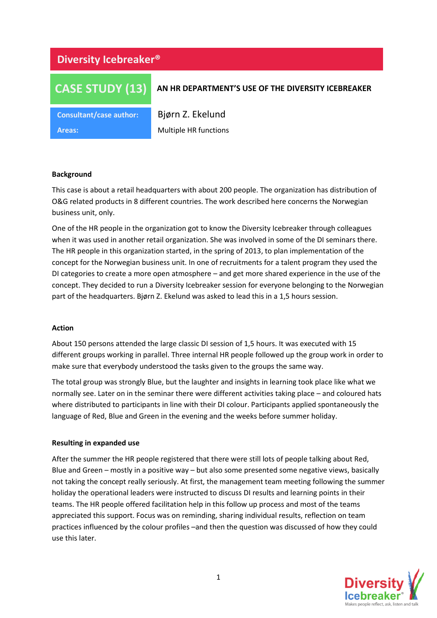# **Diversity Icebreaker®**

# **CASE STUDY (13)**

# **AN HR DEPARTMENT'S USE OF THE DIVERSITY ICEBREAKER**

**Consultant/case author:** Bjørn Z. Ekelund

**Areas:** Multiple HR functions

# **Background**

This case is about a retail headquarters with about 200 people. The organization has distribution of O&G related products in 8 different countries. The work described here concerns the Norwegian business unit, only.

One of the HR people in the organization got to know the Diversity Icebreaker through colleagues when it was used in another retail organization. She was involved in some of the DI seminars there. The HR people in this organization started, in the spring of 2013, to plan implementation of the concept for the Norwegian business unit. In one of recruitments for a talent program they used the DI categories to create a more open atmosphere – and get more shared experience in the use of the concept. They decided to run a Diversity Icebreaker session for everyone belonging to the Norwegian part of the headquarters. Bjørn Z. Ekelund was asked to lead this in a 1,5 hours session.

#### **Action**

About 150 persons attended the large classic DI session of 1,5 hours. It was executed with 15 different groups working in parallel. Three internal HR people followed up the group work in order to make sure that everybody understood the tasks given to the groups the same way.

The total group was strongly Blue, but the laughter and insights in learning took place like what we normally see. Later on in the seminar there were different activities taking place – and coloured hats where distributed to participants in line with their DI colour. Participants applied spontaneously the language of Red, Blue and Green in the evening and the weeks before summer holiday.

#### **Resulting in expanded use**

After the summer the HR people registered that there were still lots of people talking about Red, Blue and Green – mostly in a positive way – but also some presented some negative views, basically not taking the concept really seriously. At first, the management team meeting following the summer holiday the operational leaders were instructed to discuss DI results and learning points in their teams. The HR people offered facilitation help in this follow up process and most of the teams appreciated this support. Focus was on reminding, sharing individual results, reflection on team practices influenced by the colour profiles –and then the question was discussed of how they could use this later.

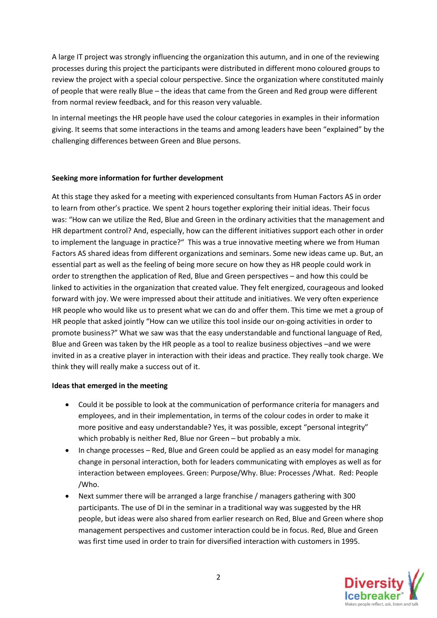A large IT project was strongly influencing the organization this autumn, and in one of the reviewing processes during this project the participants were distributed in different mono coloured groups to review the project with a special colour perspective. Since the organization where constituted mainly of people that were really Blue – the ideas that came from the Green and Red group were different from normal review feedback, and for this reason very valuable.

In internal meetings the HR people have used the colour categories in examples in their information giving. It seems that some interactions in the teams and among leaders have been "explained" by the challenging differences between Green and Blue persons.

# **Seeking more information for further development**

At this stage they asked for a meeting with experienced consultants from Human Factors AS in order to learn from other's practice. We spent 2 hours together exploring their initial ideas. Their focus was: "How can we utilize the Red, Blue and Green in the ordinary activities that the management and HR department control? And, especially, how can the different initiatives support each other in order to implement the language in practice?" This was a true innovative meeting where we from Human Factors AS shared ideas from different organizations and seminars. Some new ideas came up. But, an essential part as well as the feeling of being more secure on how they as HR people could work in order to strengthen the application of Red, Blue and Green perspectives – and how this could be linked to activities in the organization that created value. They felt energized, courageous and looked forward with joy. We were impressed about their attitude and initiatives. We very often experience HR people who would like us to present what we can do and offer them. This time we met a group of HR people that asked jointly "How can we utilize this tool inside our on-going activities in order to promote business?" What we saw was that the easy understandable and functional language of Red, Blue and Green was taken by the HR people as a tool to realize business objectives –and we were invited in as a creative player in interaction with their ideas and practice. They really took charge. We think they will really make a success out of it.

# **Ideas that emerged in the meeting**

- Could it be possible to look at the communication of performance criteria for managers and employees, and in their implementation, in terms of the colour codes in order to make it more positive and easy understandable? Yes, it was possible, except "personal integrity" which probably is neither Red, Blue nor Green – but probably a mix.
- In change processes Red, Blue and Green could be applied as an easy model for managing change in personal interaction, both for leaders communicating with employes as well as for interaction between employees. Green: Purpose/Why. Blue: Processes /What. Red: People /Who.
- Next summer there will be arranged a large franchise / managers gathering with 300 participants. The use of DI in the seminar in a traditional way was suggested by the HR people, but ideas were also shared from earlier research on Red, Blue and Green where shop management perspectives and customer interaction could be in focus. Red, Blue and Green was first time used in order to train for diversified interaction with customers in 1995.